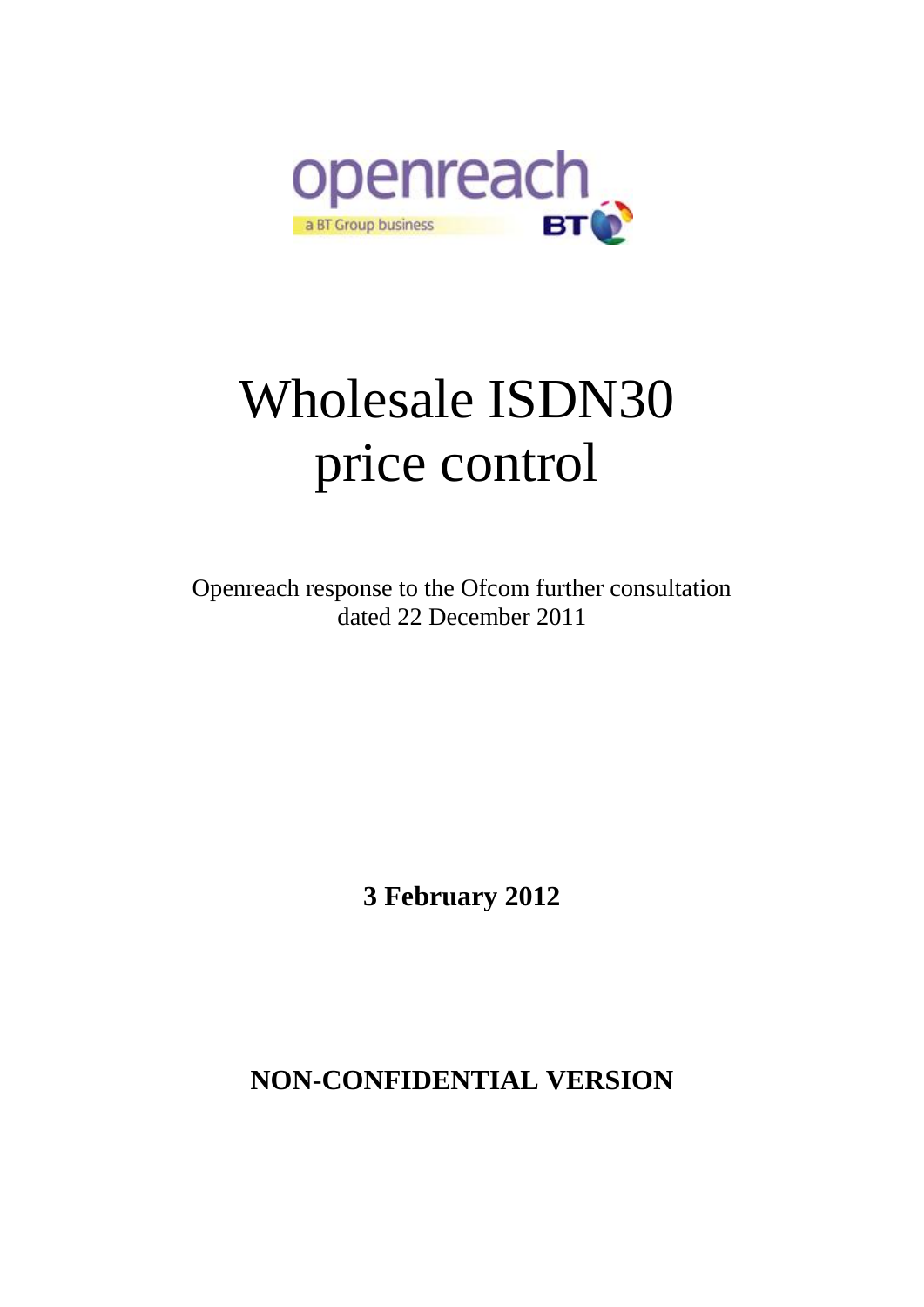

# Wholesale ISDN30 price control

Openreach response to the Ofcom further consultation dated 22 December 2011

**3 February 2012**

**NON-CONFIDENTIAL VERSION**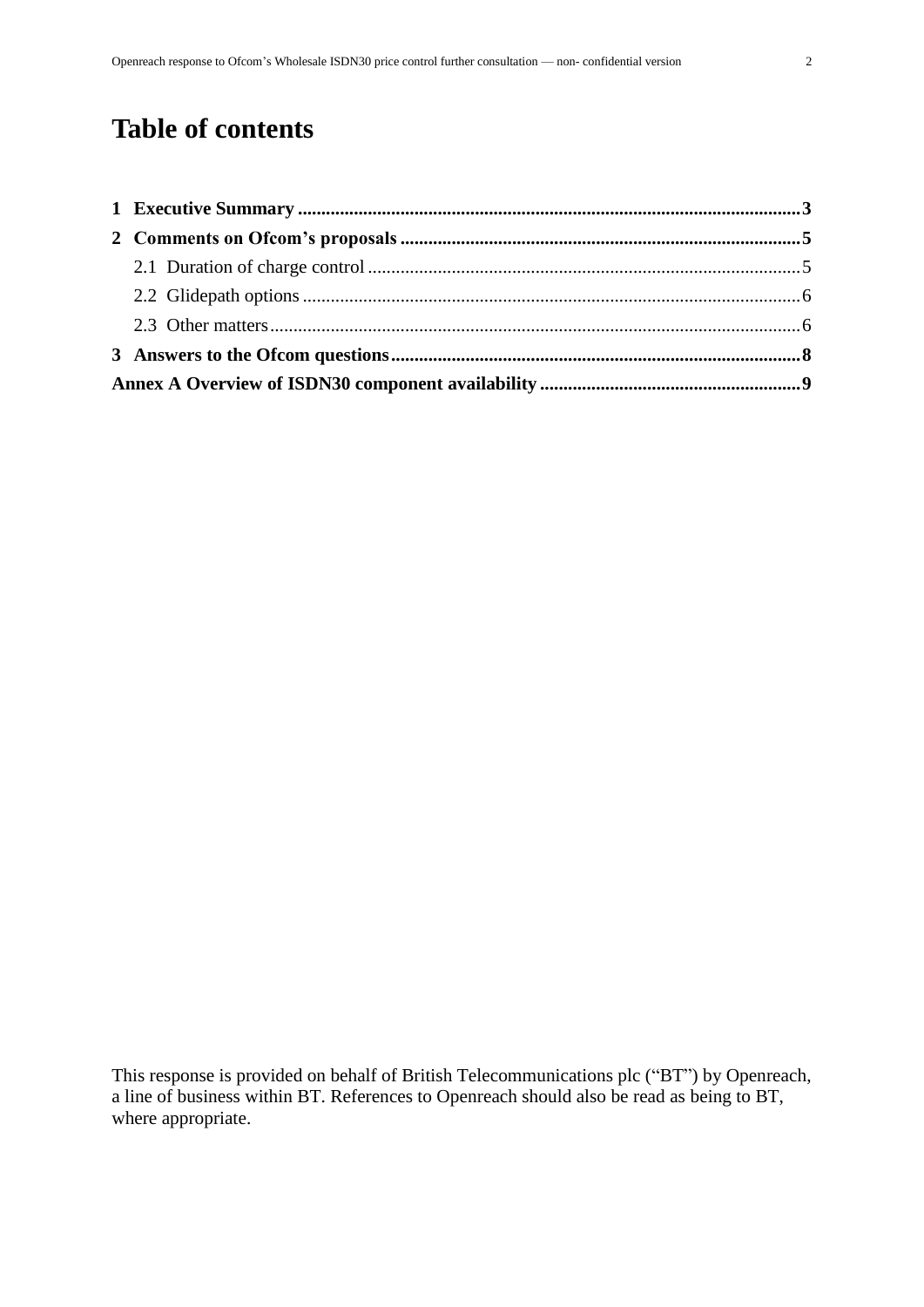## **Table of contents**

This response is provided on behalf of British Telecommunications plc ("BT") by Openreach, a line of business within BT. References to Openreach should also be read as being to BT, where appropriate.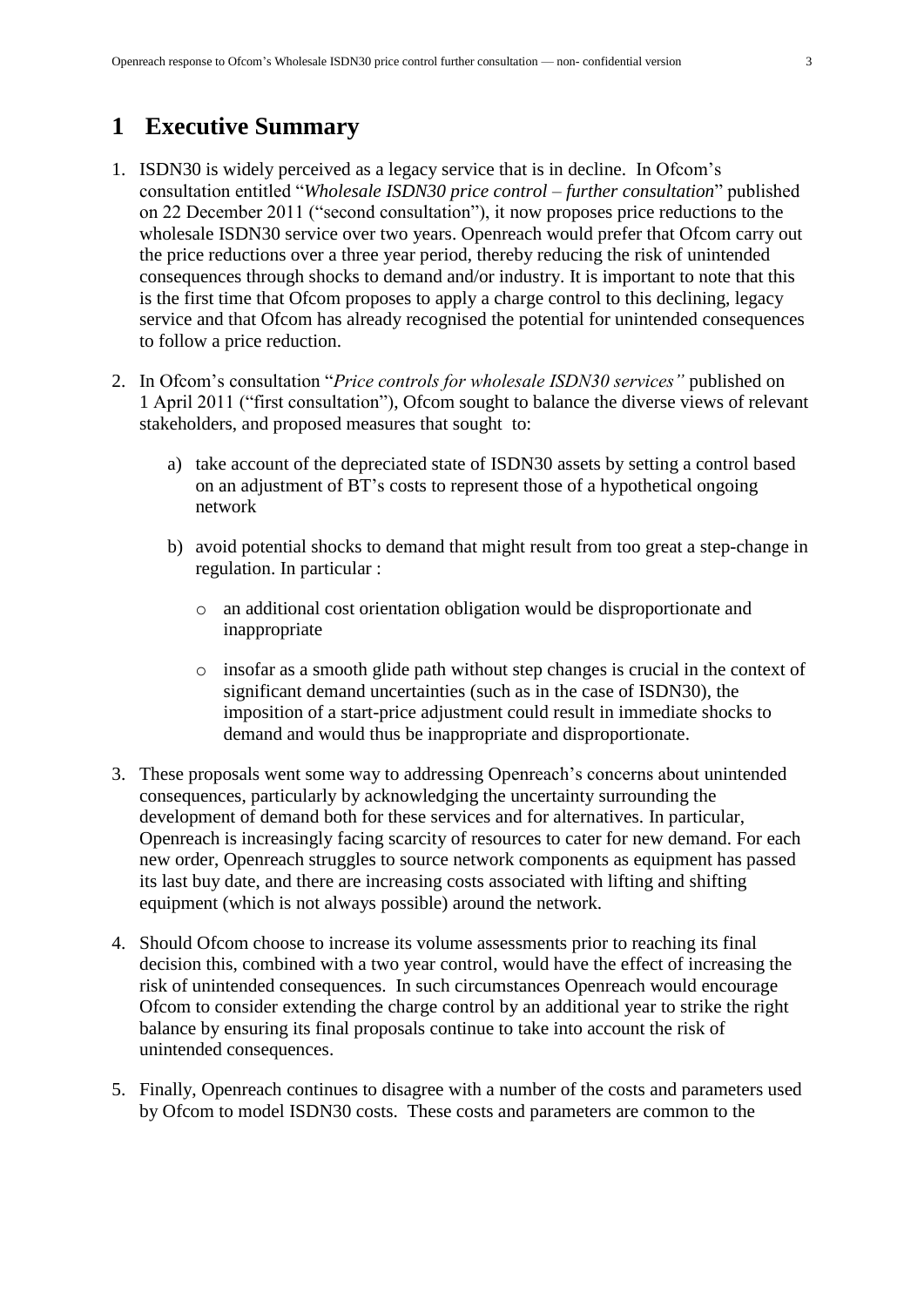#### <span id="page-2-0"></span>**1 Executive Summary**

- 1. ISDN30 is widely perceived as a legacy service that is in decline. In Ofcom's consultation entitled "*Wholesale ISDN30 price control – further consultation*" published on 22 December 2011 ("second consultation"), it now proposes price reductions to the wholesale ISDN30 service over two years. Openreach would prefer that Ofcom carry out the price reductions over a three year period, thereby reducing the risk of unintended consequences through shocks to demand and/or industry. It is important to note that this is the first time that Ofcom proposes to apply a charge control to this declining, legacy service and that Ofcom has already recognised the potential for unintended consequences to follow a price reduction.
- 2. In Ofcom's consultation "*Price controls for wholesale ISDN30 services"* published on 1 April 2011 ("first consultation"), Ofcom sought to balance the diverse views of relevant stakeholders, and proposed measures that sought to:
	- a) take account of the depreciated state of ISDN30 assets by setting a control based on an adjustment of BT's costs to represent those of a hypothetical ongoing network
	- b) avoid potential shocks to demand that might result from too great a step-change in regulation. In particular :
		- o an additional cost orientation obligation would be disproportionate and inappropriate
		- o insofar as a smooth glide path without step changes is crucial in the context of significant demand uncertainties (such as in the case of ISDN30), the imposition of a start-price adjustment could result in immediate shocks to demand and would thus be inappropriate and disproportionate.
- 3. These proposals went some way to addressing Openreach's concerns about unintended consequences, particularly by acknowledging the uncertainty surrounding the development of demand both for these services and for alternatives. In particular, Openreach is increasingly facing scarcity of resources to cater for new demand. For each new order, Openreach struggles to source network components as equipment has passed its last buy date, and there are increasing costs associated with lifting and shifting equipment (which is not always possible) around the network.
- 4. Should Ofcom choose to increase its volume assessments prior to reaching its final decision this, combined with a two year control, would have the effect of increasing the risk of unintended consequences. In such circumstances Openreach would encourage Ofcom to consider extending the charge control by an additional year to strike the right balance by ensuring its final proposals continue to take into account the risk of unintended consequences.
- 5. Finally, Openreach continues to disagree with a number of the costs and parameters used by Ofcom to model ISDN30 costs. These costs and parameters are common to the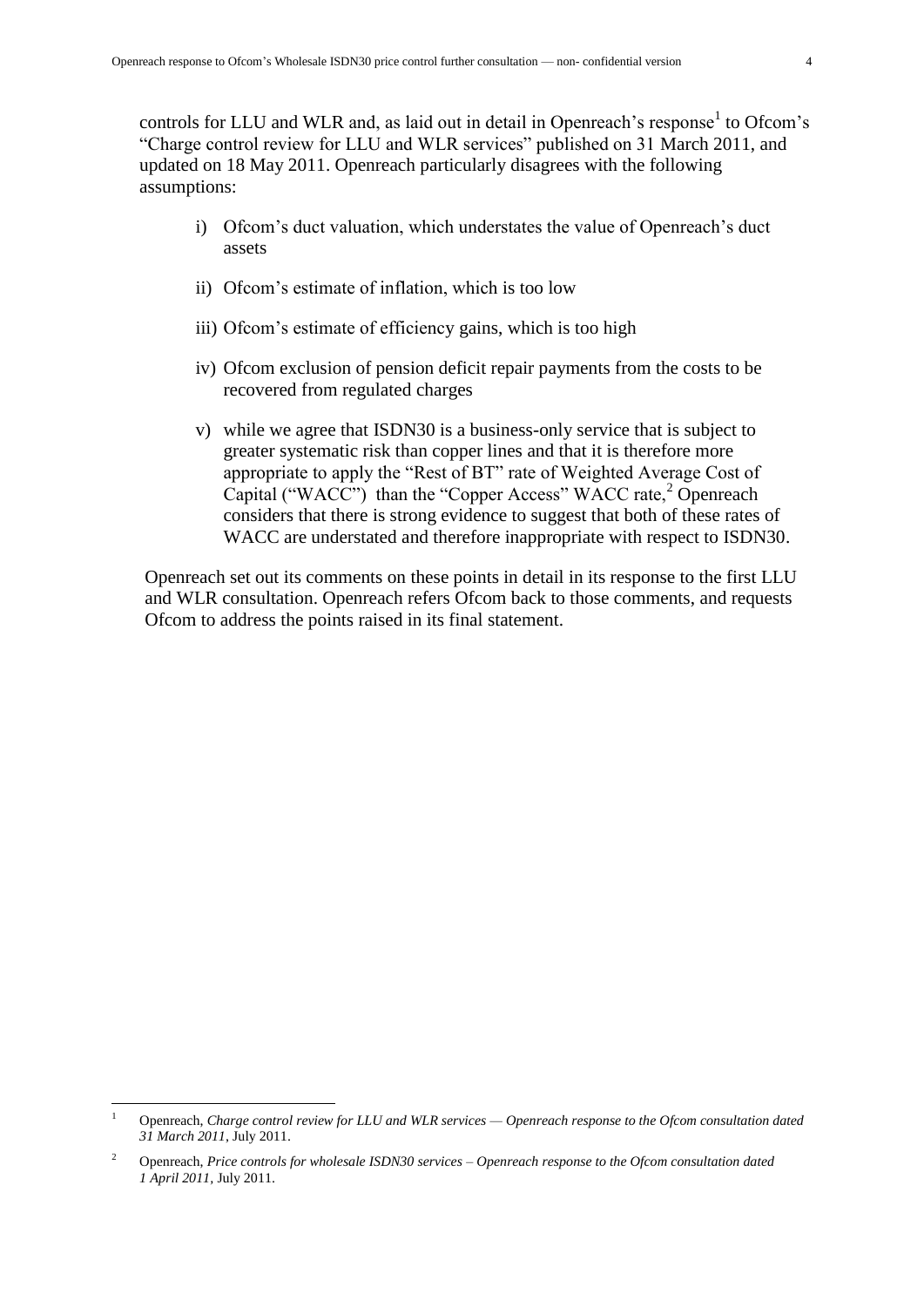controls for LLU and WLR and, as laid out in detail in Openreach's response<sup>1</sup> to Ofcom's "Charge control review for LLU and WLR services" published on 31 March 2011, and updated on 18 May 2011. Openreach particularly disagrees with the following assumptions:

- i) Ofcom's duct valuation, which understates the value of Openreach's duct assets
- ii) Ofcom's estimate of inflation, which is too low
- iii) Ofcom's estimate of efficiency gains, which is too high
- iv) Ofcom exclusion of pension deficit repair payments from the costs to be recovered from regulated charges
- v) while we agree that ISDN30 is a business-only service that is subject to greater systematic risk than copper lines and that it is therefore more appropriate to apply the "Rest of BT" rate of Weighted Average Cost of Capital ("WACC") than the "Copper Access" WACC rate, $2^{\circ}$  Openreach considers that there is strong evidence to suggest that both of these rates of WACC are understated and therefore inappropriate with respect to ISDN30.

Openreach set out its comments on these points in detail in its response to the first LLU and WLR consultation. Openreach refers Ofcom back to those comments, and requests Ofcom to address the points raised in its final statement.

<u>.</u>

<sup>1</sup> Openreach, *Charge control review for LLU and WLR services — Openreach response to the Ofcom consultation dated 31 March 2011*, July 2011.

<sup>2</sup> Openreach, *Price controls for wholesale ISDN30 services – Openreach response to the Ofcom consultation dated 1 April 2011,* July 2011.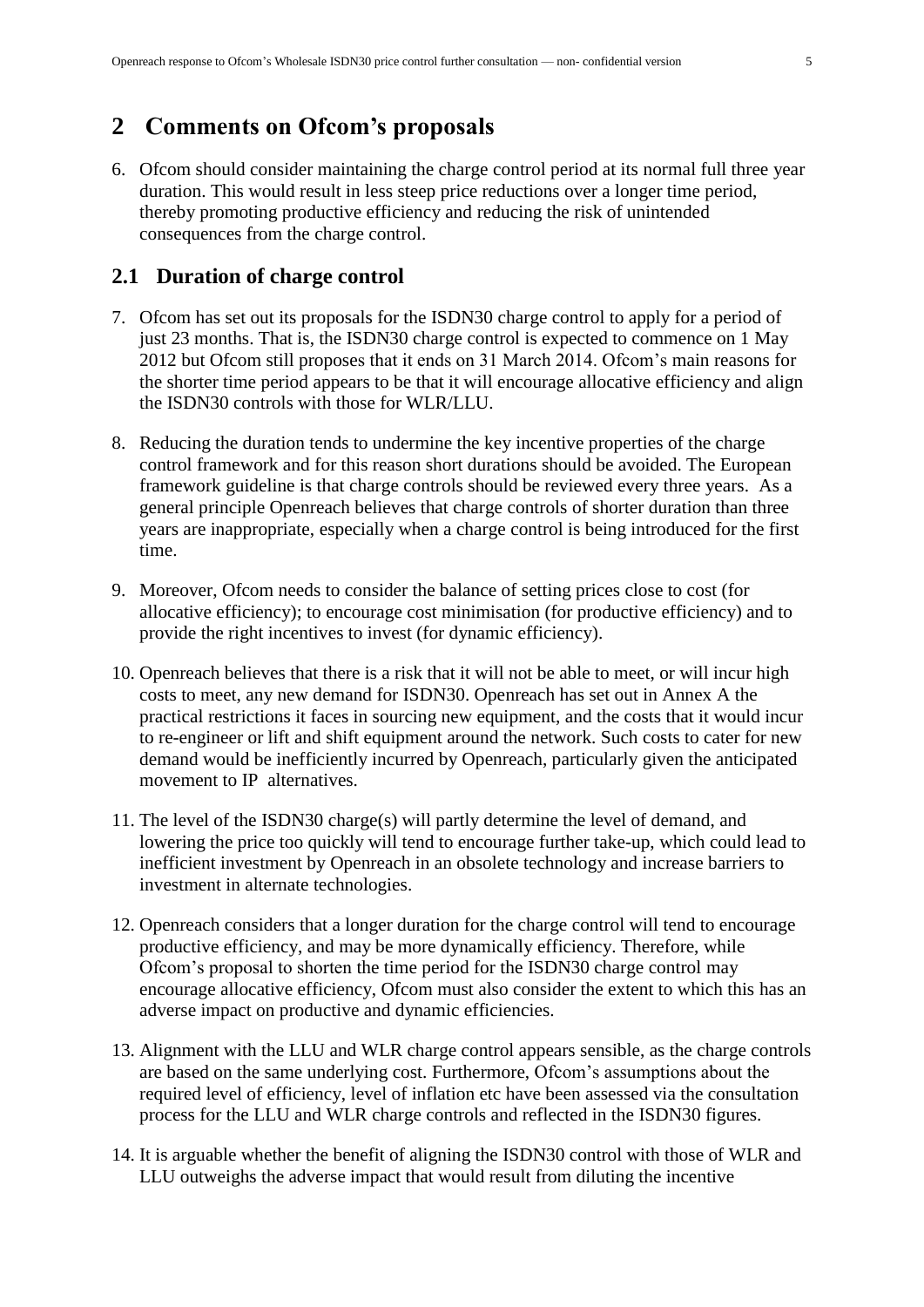#### <span id="page-4-0"></span>**2 Comments on Ofcom's proposals**

6. Ofcom should consider maintaining the charge control period at its normal full three year duration. This would result in less steep price reductions over a longer time period, thereby promoting productive efficiency and reducing the risk of unintended consequences from the charge control.

#### <span id="page-4-1"></span>**2.1 Duration of charge control**

- 7. Ofcom has set out its proposals for the ISDN30 charge control to apply for a period of just 23 months. That is, the ISDN30 charge control is expected to commence on 1 May 2012 but Ofcom still proposes that it ends on 31 March 2014. Ofcom's main reasons for the shorter time period appears to be that it will encourage allocative efficiency and align the ISDN30 controls with those for WLR/LLU.
- 8. Reducing the duration tends to undermine the key incentive properties of the charge control framework and for this reason short durations should be avoided. The European framework guideline is that charge controls should be reviewed every three years. As a general principle Openreach believes that charge controls of shorter duration than three years are inappropriate, especially when a charge control is being introduced for the first time.
- 9. Moreover, Ofcom needs to consider the balance of setting prices close to cost (for allocative efficiency); to encourage cost minimisation (for productive efficiency) and to provide the right incentives to invest (for dynamic efficiency).
- 10. Openreach believes that there is a risk that it will not be able to meet, or will incur high costs to meet, any new demand for ISDN30. Openreach has set out in Annex A the practical restrictions it faces in sourcing new equipment, and the costs that it would incur to re-engineer or lift and shift equipment around the network. Such costs to cater for new demand would be inefficiently incurred by Openreach, particularly given the anticipated movement to IP alternatives.
- 11. The level of the ISDN30 charge(s) will partly determine the level of demand, and lowering the price too quickly will tend to encourage further take-up, which could lead to inefficient investment by Openreach in an obsolete technology and increase barriers to investment in alternate technologies.
- 12. Openreach considers that a longer duration for the charge control will tend to encourage productive efficiency, and may be more dynamically efficiency. Therefore, while Ofcom's proposal to shorten the time period for the ISDN30 charge control may encourage allocative efficiency, Ofcom must also consider the extent to which this has an adverse impact on productive and dynamic efficiencies.
- 13. Alignment with the LLU and WLR charge control appears sensible, as the charge controls are based on the same underlying cost. Furthermore, Ofcom's assumptions about the required level of efficiency, level of inflation etc have been assessed via the consultation process for the LLU and WLR charge controls and reflected in the ISDN30 figures.
- 14. It is arguable whether the benefit of aligning the ISDN30 control with those of WLR and LLU outweighs the adverse impact that would result from diluting the incentive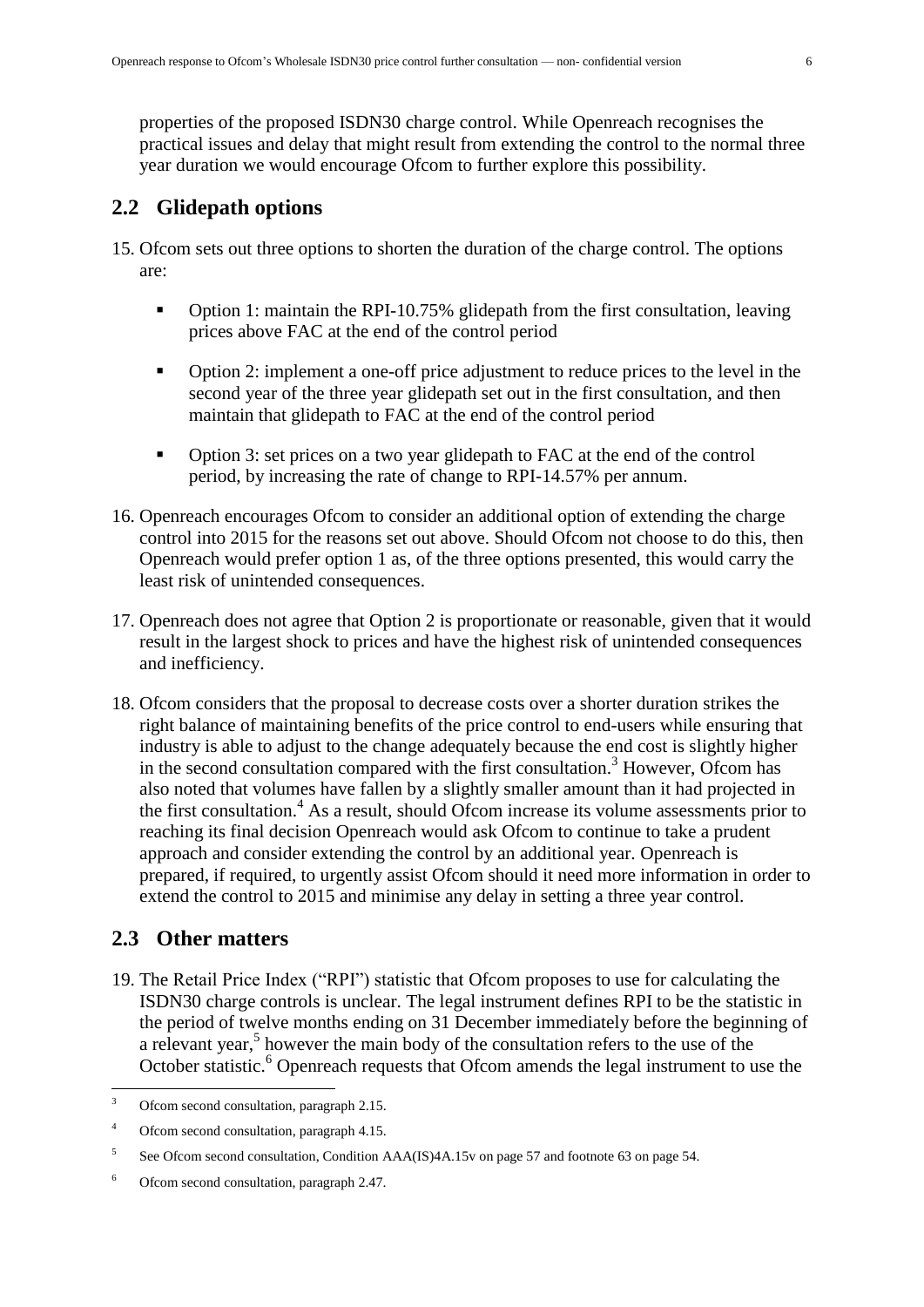properties of the proposed ISDN30 charge control. While Openreach recognises the practical issues and delay that might result from extending the control to the normal three year duration we would encourage Ofcom to further explore this possibility.

#### <span id="page-5-0"></span>**2.2 Glidepath options**

- 15. Ofcom sets out three options to shorten the duration of the charge control. The options are:
	- Option 1: maintain the RPI-10.75% glidepath from the first consultation, leaving prices above FAC at the end of the control period
	- Option 2: implement a one-off price adjustment to reduce prices to the level in the second year of the three year glidepath set out in the first consultation, and then maintain that glidepath to FAC at the end of the control period
	- Option 3: set prices on a two year glidepath to FAC at the end of the control period, by increasing the rate of change to RPI-14.57% per annum.
- 16. Openreach encourages Ofcom to consider an additional option of extending the charge control into 2015 for the reasons set out above. Should Ofcom not choose to do this, then Openreach would prefer option 1 as, of the three options presented, this would carry the least risk of unintended consequences.
- 17. Openreach does not agree that Option 2 is proportionate or reasonable, given that it would result in the largest shock to prices and have the highest risk of unintended consequences and inefficiency.
- 18. Ofcom considers that the proposal to decrease costs over a shorter duration strikes the right balance of maintaining benefits of the price control to end-users while ensuring that industry is able to adjust to the change adequately because the end cost is slightly higher in the second consultation compared with the first consultation.<sup>3</sup> However, Ofcom has also noted that volumes have fallen by a slightly smaller amount than it had projected in the first consultation.<sup>4</sup> As a result, should Ofcom increase its volume assessments prior to reaching its final decision Openreach would ask Ofcom to continue to take a prudent approach and consider extending the control by an additional year. Openreach is prepared, if required, to urgently assist Ofcom should it need more information in order to extend the control to 2015 and minimise any delay in setting a three year control.

#### <span id="page-5-1"></span>**2.3 Other matters**

19. The Retail Price Index ("RPI") statistic that Ofcom proposes to use for calculating the ISDN30 charge controls is unclear. The legal instrument defines RPI to be the statistic in the period of twelve months ending on 31 December immediately before the beginning of a relevant year, 5 however the main body of the consultation refers to the use of the October statistic.<sup>6</sup> Openreach requests that Ofcom amends the legal instrument to use the

 $\overline{3}$ Ofcom second consultation, paragraph 2.15.

<sup>4</sup> Ofcom second consultation, paragraph 4.15.

<sup>5</sup> See Ofcom second consultation, Condition AAA(IS)4A.15v on page 57 and footnote 63 on page 54.

<sup>6</sup> Ofcom second consultation, paragraph 2.47.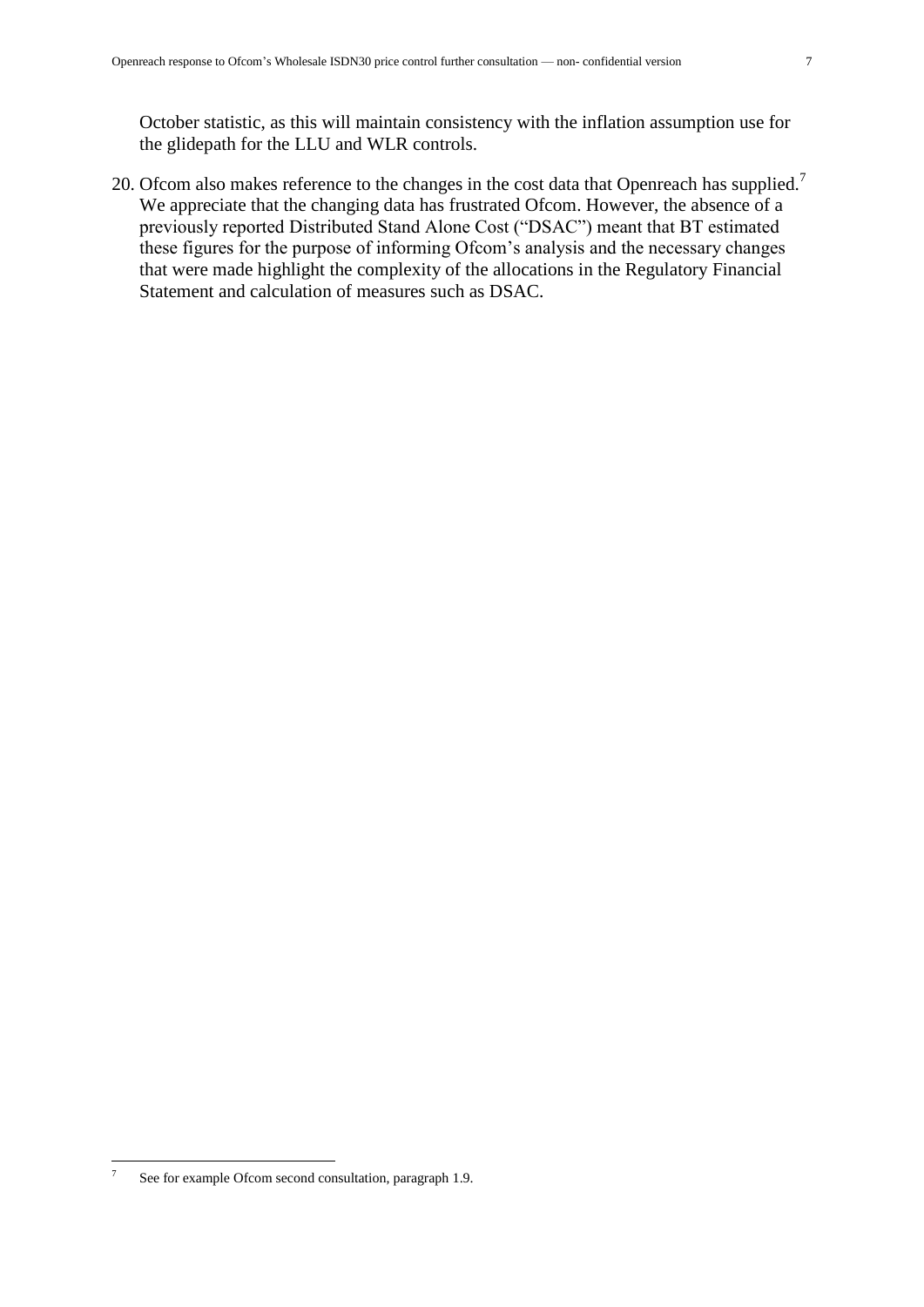October statistic, as this will maintain consistency with the inflation assumption use for the glidepath for the LLU and WLR controls.

20. Ofcom also makes reference to the changes in the cost data that Openreach has supplied.<sup>7</sup> We appreciate that the changing data has frustrated Ofcom. However, the absence of a previously reported Distributed Stand Alone Cost ("DSAC") meant that BT estimated these figures for the purpose of informing Ofcom's analysis and the necessary changes that were made highlight the complexity of the allocations in the Regulatory Financial Statement and calculation of measures such as DSAC.

 $\frac{1}{7}$ See for example Ofcom second consultation, paragraph 1.9.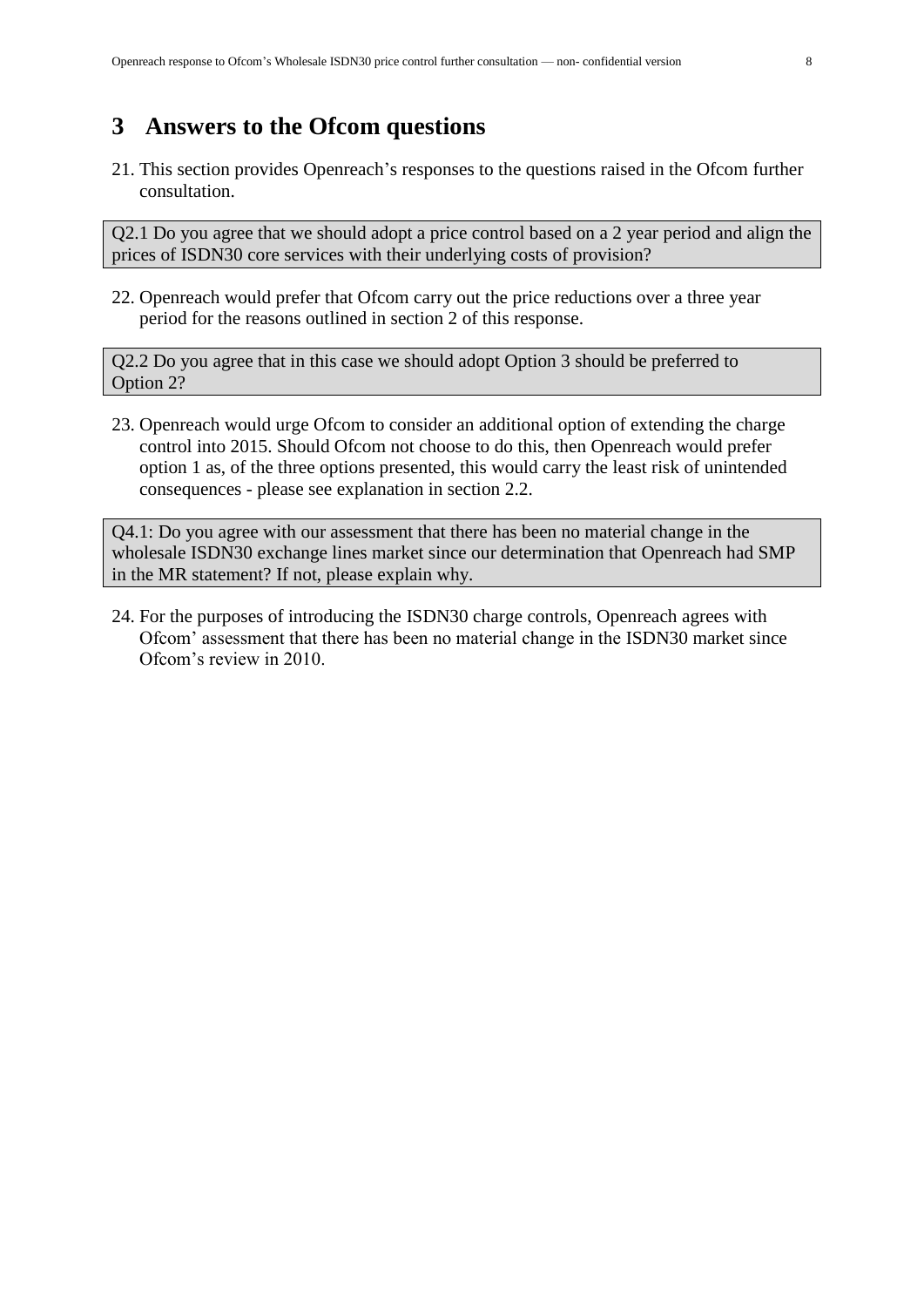### <span id="page-7-0"></span>**3 Answers to the Ofcom questions**

21. This section provides Openreach's responses to the questions raised in the Ofcom further consultation.

Q2.1 Do you agree that we should adopt a price control based on a 2 year period and align the prices of ISDN30 core services with their underlying costs of provision?

22. Openreach would prefer that Ofcom carry out the price reductions over a three year period for the reasons outlined in section [2](#page-4-0) of this response.

Q2.2 Do you agree that in this case we should adopt Option 3 should be preferred to Option 2?

23. Openreach would urge Ofcom to consider an additional option of extending the charge control into 2015. Should Ofcom not choose to do this, then Openreach would prefer option 1 as, of the three options presented, this would carry the least risk of unintended consequences - please see explanation in section [2.2.](#page-5-0)

Q4.1: Do you agree with our assessment that there has been no material change in the wholesale ISDN30 exchange lines market since our determination that Openreach had SMP in the MR statement? If not, please explain why.

24. For the purposes of introducing the ISDN30 charge controls, Openreach agrees with Ofcom' assessment that there has been no material change in the ISDN30 market since Ofcom's review in 2010.